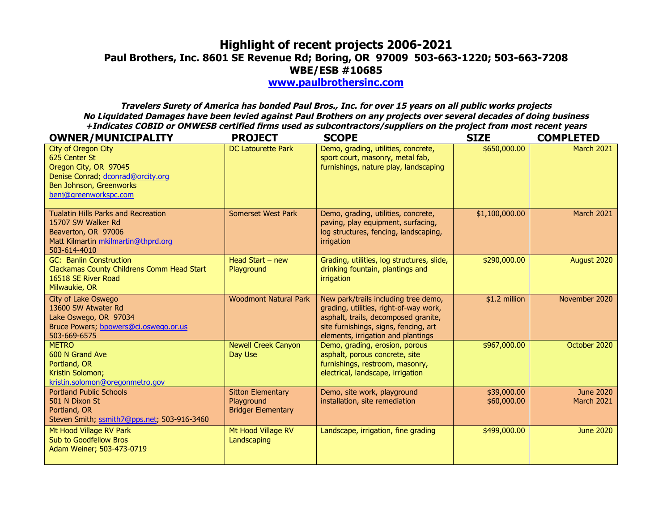## **Highlight of recent projects 2006-2021 Paul Brothers, Inc. 8601 SE Revenue Rd; Boring, OR 97009 503-663-1220; 503-663-7208 WBE/ESB #10685**

**www.paulbrothersinc.com**

**Travelers Surety of America has bonded Paul Bros., Inc. for over 15 years on all public works projects No Liquidated Damages have been levied against Paul Brothers on any projects over several decades of doing business +Indicates COBID or OMWESB certified firms used as subcontractors/suppliers on the project from most recent years**

| <b>OWNER/MUNICIPALITY</b>                                                                                                                              | <b>PROJECT</b>                                                      | <b>SCOPE</b>                                                                                                                                                                                          | <b>SIZE</b>                | <b>COMPLETED</b>                      |
|--------------------------------------------------------------------------------------------------------------------------------------------------------|---------------------------------------------------------------------|-------------------------------------------------------------------------------------------------------------------------------------------------------------------------------------------------------|----------------------------|---------------------------------------|
| City of Oregon City<br>625 Center St<br>Oregon City, OR 97045<br>Denise Conrad; dconrad@orcity.org<br>Ben Johnson, Greenworks<br>benj@greenworkspc.com | <b>DC Latourette Park</b>                                           | Demo, grading, utilities, concrete,<br>sport court, masonry, metal fab,<br>furnishings, nature play, landscaping                                                                                      | \$650,000.00               | <b>March 2021</b>                     |
| <b>Tualatin Hills Parks and Recreation</b><br>15707 SW Walker Rd<br>Beaverton, OR 97006<br>Matt Kilmartin mkilmartin@thprd.org<br>503-614-4010         | <b>Somerset West Park</b>                                           | Demo, grading, utilities, concrete,<br>paving, play equipment, surfacing,<br>log structures, fencing, landscaping,<br>irrigation                                                                      | \$1,100,000.00             | <b>March 2021</b>                     |
| <b>GC: Banlin Construction</b><br>Clackamas County Childrens Comm Head Start<br>16518 SE River Road<br>Milwaukie, OR                                   | Head Start $-$ new<br>Playground                                    | Grading, utilities, log structures, slide,<br>drinking fountain, plantings and<br>irrigation                                                                                                          | \$290,000.00               | August 2020                           |
| City of Lake Oswego<br>13600 SW Atwater Rd<br>Lake Oswego, OR 97034<br>Bruce Powers; bpowers@ci.oswego.or.us<br>503-669-6575                           | <b>Woodmont Natural Park</b>                                        | New park/trails including tree demo,<br>grading, utilities, right-of-way work,<br>asphalt, trails, decomposed granite,<br>site furnishings, signs, fencing, art<br>elements, irrigation and plantings | $$1.2$ million             | November 2020                         |
| <b>METRO</b><br>600 N Grand Ave<br>Portland, OR<br>Kristin Solomon;<br>kristin.solomon@oregonmetro.gov                                                 | <b>Newell Creek Canyon</b><br>Day Use                               | Demo, grading, erosion, porous<br>asphalt, porous concrete, site<br>furnishings, restroom, masonry,<br>electrical, landscape, irrigation                                                              | \$967,000.00               | October 2020                          |
| <b>Portland Public Schools</b><br>501 N Dixon St<br>Portland, OR<br>Steven Smith, ssmith7@pps.net, 503-916-3460                                        | <b>Sitton Elementary</b><br>Playground<br><b>Bridger Elementary</b> | Demo, site work, playground<br>installation, site remediation                                                                                                                                         | \$39,000.00<br>\$60,000.00 | <b>June 2020</b><br><b>March 2021</b> |
| Mt Hood Village RV Park<br>Sub to Goodfellow Bros<br>Adam Weiner; 503-473-0719                                                                         | Mt Hood Village RV<br>Landscaping                                   | Landscape, irrigation, fine grading                                                                                                                                                                   | \$499,000.00               | <b>June 2020</b>                      |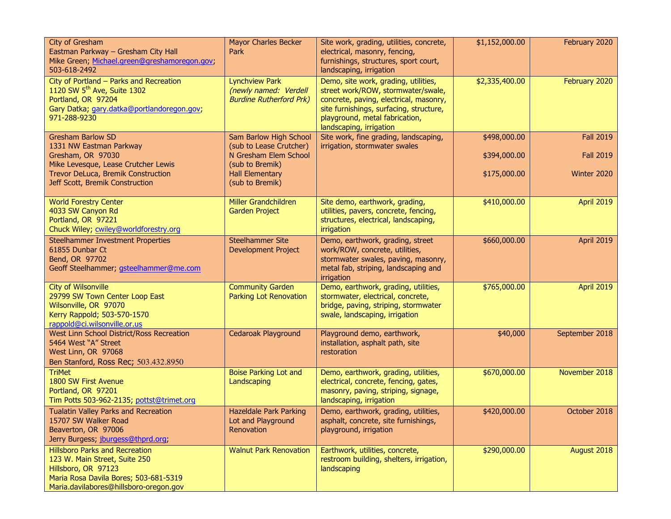| City of Gresham<br>Eastman Parkway - Gresham City Hall<br>Mike Green; Michael.green@greshamoregon.gov;<br>503-618-2492                                                           | <b>Mayor Charles Becker</b><br>Park                                              | Site work, grading, utilities, concrete,<br>electrical, masonry, fencing,<br>furnishings, structures, sport court,<br>landscaping, irrigation                                                                                | \$1,152,000.00 | February 2020    |
|----------------------------------------------------------------------------------------------------------------------------------------------------------------------------------|----------------------------------------------------------------------------------|------------------------------------------------------------------------------------------------------------------------------------------------------------------------------------------------------------------------------|----------------|------------------|
| City of Portland - Parks and Recreation<br>1120 SW 5 <sup>th</sup> Ave, Suite 1302<br>Portland, OR 97204<br>Gary Datka; gary.datka@portlandoregon.gov;<br>971-288-9230           | <b>Lynchview Park</b><br>(newly named: Verdell<br><b>Burdine Rutherford Prk)</b> | Demo, site work, grading, utilities,<br>street work/ROW, stormwater/swale,<br>concrete, paving, electrical, masonry,<br>site furnishings, surfacing, structure,<br>playground, metal fabrication,<br>landscaping, irrigation | \$2,335,400.00 | February 2020    |
| <b>Gresham Barlow SD</b><br>1331 NW Eastman Parkway                                                                                                                              | Sam Barlow High School<br>(sub to Lease Crutcher)                                | Site work, fine grading, landscaping,<br>irrigation, stormwater swales                                                                                                                                                       | \$498,000.00   | <b>Fall 2019</b> |
| Gresham, OR 97030<br>Mike Levesque, Lease Crutcher Lewis                                                                                                                         | N Gresham Elem School<br>(sub to Bremik)                                         |                                                                                                                                                                                                                              | \$394,000.00   | <b>Fall 2019</b> |
| Trevor DeLuca, Bremik Construction<br>Jeff Scott, Bremik Construction                                                                                                            | <b>Hall Elementary</b><br>(sub to Bremik)                                        |                                                                                                                                                                                                                              | \$175,000.00   | Winter 2020      |
| <b>World Forestry Center</b><br>4033 SW Canyon Rd<br>Portland, OR 97221<br>Chuck Wiley, cwiley@worldforestry.org                                                                 | Miller Grandchildren<br><b>Garden Project</b>                                    | Site demo, earthwork, grading,<br>utilities, pavers, concrete, fencing,<br>structures, electrical, landscaping,<br>irrigation                                                                                                | \$410,000.00   | April 2019       |
| <b>Steelhammer Investment Properties</b><br>61855 Dunbar Ct<br>Bend, OR 97702<br>Geoff Steelhammer; gsteelhammer@me.com                                                          | <b>Steelhammer Site</b><br><b>Development Project</b>                            | Demo, earthwork, grading, street<br>work/ROW, concrete, utilities,<br>stormwater swales, paving, masonry,<br>metal fab, striping, landscaping and<br>irrigation                                                              | \$660,000.00   | April 2019       |
| <b>City of Wilsonville</b><br>29799 SW Town Center Loop East<br>Wilsonville, OR 97070<br>Kerry Rappold; 503-570-1570<br>rappold@ci.wilsonville.or.us                             | <b>Community Garden</b><br>Parking Lot Renovation                                | Demo, earthwork, grading, utilities,<br>stormwater, electrical, concrete,<br>bridge, paving, striping, stormwater<br>swale, landscaping, irrigation                                                                          | \$765,000.00   | April 2019       |
| West Linn School District/Ross Recreation<br>5464 West "A" Street<br>West Linn, OR 97068<br>Ben Stanford, Ross Rec; 503.432.8950                                                 | Cedaroak Playground                                                              | Playground demo, earthwork,<br>installation, asphalt path, site<br>restoration                                                                                                                                               | \$40,000       | September 2018   |
| <b>TriMet</b><br>1800 SW First Avenue<br>Portland, OR 97201<br>Tim Potts 503-962-2135; pottst@trimet.org                                                                         | <b>Boise Parking Lot and</b><br>Landscaping                                      | Demo, earthwork, grading, utilities,<br>electrical, concrete, fencing, gates,<br>masonry, paving, striping, signage,<br>landscaping, irrigation                                                                              | \$670,000.00   | November 2018    |
| Tualatin Valley Parks and Recreation<br>15707 SW Walker Road<br>Beaverton, OR 97006<br>Jerry Burgess; jburgess@thprd.org;                                                        | <b>Hazeldale Park Parking</b><br>Lot and Playground<br>Renovation                | Demo, earthwork, grading, utilities,<br>asphalt, concrete, site furnishings,<br>playground, irrigation                                                                                                                       | \$420,000.00   | October 2018     |
| <b>Hillsboro Parks and Recreation</b><br>123 W. Main Street, Suite 250<br>Hillsboro, OR 97123<br>Maria Rosa Davila Bores; 503-681-5319<br>Maria.davilabores@hillsboro-oregon.gov | <b>Walnut Park Renovation</b>                                                    | Earthwork, utilities, concrete,<br>restroom building, shelters, irrigation,<br>landscaping                                                                                                                                   | \$290,000.00   | August 2018      |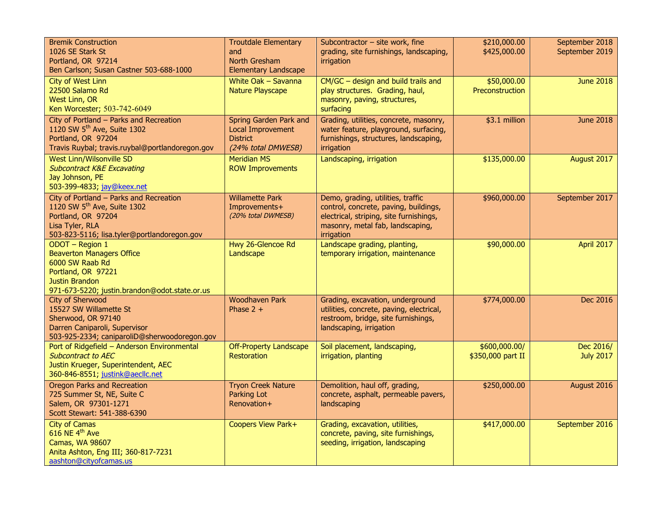| <b>Bremik Construction</b><br>1026 SE Stark St<br>Portland, OR 97214<br>Ben Carlson; Susan Castner 503-688-1000                                                            | <b>Troutdale Elementary</b><br>and<br>North Gresham<br><b>Elementary Landscape</b>          | Subcontractor $-$ site work, fine<br>grading, site furnishings, landscaping,<br>irrigation                                                                              | \$210,000.00<br>\$425,000.00          | September 2018<br>September 2019 |
|----------------------------------------------------------------------------------------------------------------------------------------------------------------------------|---------------------------------------------------------------------------------------------|-------------------------------------------------------------------------------------------------------------------------------------------------------------------------|---------------------------------------|----------------------------------|
| City of West Linn<br>22500 Salamo Rd<br>West Linn, OR<br>Ken Worcester; 503-742-6049                                                                                       | White Oak - Savanna<br><b>Nature Playscape</b>                                              | $CM/GC$ – design and build trails and<br>play structures. Grading, haul,<br>masonry, paving, structures,<br>surfacing                                                   | \$50,000.00<br><b>Preconstruction</b> | <b>June 2018</b>                 |
| City of Portland - Parks and Recreation<br>1120 SW 5 <sup>th</sup> Ave, Suite 1302<br>Portland, OR 97204<br>Travis Ruybal; travis.ruybal@portlandoregon.gov                | Spring Garden Park and<br><b>Local Improvement</b><br><b>District</b><br>(24% total DMWESB) | Grading, utilities, concrete, masonry,<br>water feature, playground, surfacing,<br>furnishings, structures, landscaping,<br>irrigation                                  | \$3.1 million                         | <b>June 2018</b>                 |
| <b>West Linn/Wilsonville SD</b><br><b>Subcontract K&amp;E Excavating</b><br>Jay Johnson, PE<br>503-399-4833; jay@keex.net                                                  | <b>Meridian MS</b><br><b>ROW Improvements</b>                                               | Landscaping, irrigation                                                                                                                                                 | \$135,000.00                          | August 2017                      |
| City of Portland - Parks and Recreation<br>1120 SW 5 <sup>th</sup> Ave, Suite 1302<br>Portland, OR 97204<br>Lisa Tyler, RLA<br>503-823-5116; lisa.tyler@portlandoregon.gov | <b>Willamette Park</b><br>Improvements+<br>(20% total DWMESB)                               | Demo, grading, utilities, traffic<br>control, concrete, paving, buildings,<br>electrical, striping, site furnishings,<br>masonry, metal fab, landscaping,<br>irrigation | \$960,000.00                          | September 2017                   |
| ODOT - Region 1<br><b>Beaverton Managers Office</b><br>6000 SW Raab Rd<br>Portland, OR 97221<br><b>Justin Brandon</b><br>971-673-5220; justin.brandon@odot.state.or.us     | Hwy 26-Glencoe Rd<br>Landscape                                                              | Landscape grading, planting,<br>temporary irrigation, maintenance                                                                                                       | \$90,000.00                           | April 2017                       |
| City of Sherwood<br>15527 SW Willamette St<br>Sherwood, OR 97140<br>Darren Caniparoli, Supervisor<br>503-925-2334; caniparoliD@sherwoodoregon.gov                          | <b>Woodhaven Park</b><br>Phase $2 +$                                                        | Grading, excavation, underground<br>utilities, concrete, paving, electrical,<br>restroom, bridge, site furnishings,<br>landscaping, irrigation                          | \$774,000.00                          | Dec 2016                         |
| Port of Ridgefield - Anderson Environmental<br><b>Subcontract to AEC</b><br>Justin Krueger, Superintendent, AEC<br>360-846-8551; justink@aecllc.net                        | <b>Off-Property Landscape</b><br><b>Restoration</b>                                         | Soil placement, landscaping,<br>irrigation, planting                                                                                                                    | \$600,000.00/<br>\$350,000 part II    | Dec 2016/<br><b>July 2017</b>    |
| <b>Oregon Parks and Recreation</b><br>725 Summer St, NE, Suite C<br>Salem, OR 97301-1271<br>Scott Stewart: 541-388-6390                                                    | <b>Tryon Creek Nature</b><br>Parking Lot<br>Renovation+                                     | Demolition, haul off, grading,<br>concrete, asphalt, permeable pavers,<br>landscaping                                                                                   | \$250,000.00                          | August 2016                      |
| <b>City of Camas</b><br>616 NE 4 <sup>th</sup> Ave<br>Camas, WA 98607<br>Anita Ashton, Eng III; 360-817-7231<br>aashton@cityofcamas.us                                     | Coopers View Park+                                                                          | Grading, excavation, utilities,<br>concrete, paving, site furnishings,<br>seeding, irrigation, landscaping                                                              | \$417,000.00                          | September 2016                   |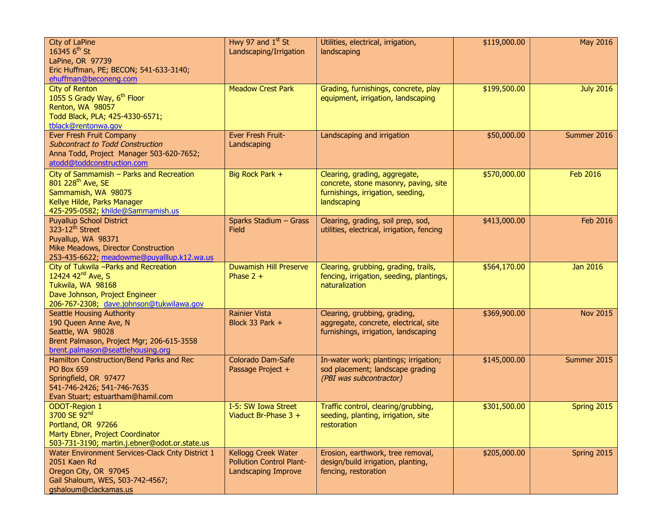| City of LaPine<br>16345 $6^{th}$ St<br>LaPine, OR 97739<br>Eric Huffman, PE; BECON; 541-633-3140;<br>ehuffman@beconeng.com                                                 | Hwy 97 and $1st$ St<br>Landscaping/Irrigation                                 | Utilities, electrical, irrigation,<br>landscaping                                                                          | \$119,000.00 | May 2016         |
|----------------------------------------------------------------------------------------------------------------------------------------------------------------------------|-------------------------------------------------------------------------------|----------------------------------------------------------------------------------------------------------------------------|--------------|------------------|
| City of Renton<br>1055 S Grady Way, 6 <sup>th</sup> Floor<br>Renton, WA 98057<br>Todd Black, PLA; 425-4330-6571;<br>tblack@rentonwa.gov                                    | <b>Meadow Crest Park</b>                                                      | Grading, furnishings, concrete, play<br>equipment, irrigation, landscaping                                                 | \$199,500.00 | <b>July 2016</b> |
| Ever Fresh Fruit Company<br><b>Subcontract to Todd Construction</b><br>Anna Todd, Project Manager 503-620-7652;<br>atodd@toddconstruction.com                              | Ever Fresh Fruit-<br>Landscaping                                              | Landscaping and irrigation                                                                                                 | \$50,000.00  | Summer 2016      |
| City of Sammamish - Parks and Recreation<br>801 228 <sup>th</sup> Ave, SE<br>Sammamish, WA 98075<br>Kellye Hilde, Parks Manager<br>425-295-0582; khilde@Sammamish.us       | Big Rock Park +                                                               | Clearing, grading, aggregate,<br>concrete, stone masonry, paving, site<br>furnishings, irrigation, seeding,<br>landscaping | \$570,000.00 | <b>Feb 2016</b>  |
| <b>Puyallup School District</b><br>323-12 <sup>th</sup> Street<br>Puyallup, WA 98371<br>Mike Meadows, Director Construction<br>253-435-6622; meadowme@puyalllup.k12.wa.us  | Sparks Stadium - Grass<br>Field                                               | Clearing, grading, soil prep, sod,<br>utilities, electrical, irrigation, fencing                                           | \$413,000.00 | Feb 2016         |
| City of Tukwila - Parks and Recreation<br>12424 42 <sup>nd</sup> Ave, S<br>Tukwila, WA 98168<br>Dave Johnson, Project Engineer<br>206-767-2308; dave.johnson@tukwilawa.gov | <b>Duwamish Hill Preserve</b><br>Phase $2 +$                                  | Clearing, grubbing, grading, trails,<br>fencing, irrigation, seeding, plantings,<br>naturalization                         | \$564,170.00 | <b>Jan 2016</b>  |
| <b>Seattle Housing Authority</b><br>190 Queen Anne Ave, N<br>Seattle, WA 98028<br>Brent Palmason, Project Mgr; 206-615-3558<br>brent.palmason@seattlehousing.org           | <b>Rainier Vista</b><br>Block 33 Park +                                       | Clearing, grubbing, grading,<br>aggregate, concrete, electrical, site<br>furnishings, irrigation, landscaping              | \$369,900.00 | <b>Nov 2015</b>  |
| Hamilton Construction/Bend Parks and Rec<br><b>PO Box 659</b><br>Springfield, OR 97477<br>541-746-2426; 541-746-7635<br>Evan Stuart; estuartham@hamil.com                  | Colorado Dam-Safe<br>Passage Project +                                        | In-water work; plantings; irrigation;<br>sod placement; landscape grading<br>(PBI was subcontractor)                       | \$145,000.00 | Summer 2015      |
| <b>ODOT-Region 1</b><br>3700 SE 92nd<br>Portland, OR 97266<br>Marty Ebner, Project Coordinator<br>503-731-3190; martin.j.ebner@odot.or.state.us                            | I-5: SW Iowa Street<br>Viaduct Br-Phase $3 +$                                 | Traffic control, clearing/grubbing,<br>seeding, planting, irrigation, site<br>restoration                                  | \$301,500.00 | Spring 2015      |
| Water Environment Services-Clack Cnty District 1<br>2051 Kaen Rd<br>Oregon City, OR 97045<br>Gail Shaloum, WES, 503-742-4567;<br>gshaloum@clackamas.us                     | Kellogg Creek Water<br><b>Pollution Control Plant-</b><br>Landscaping Improve | Erosion, earthwork, tree removal,<br>design/build irrigation, planting,<br>fencing, restoration                            | \$205,000.00 | Spring 2015      |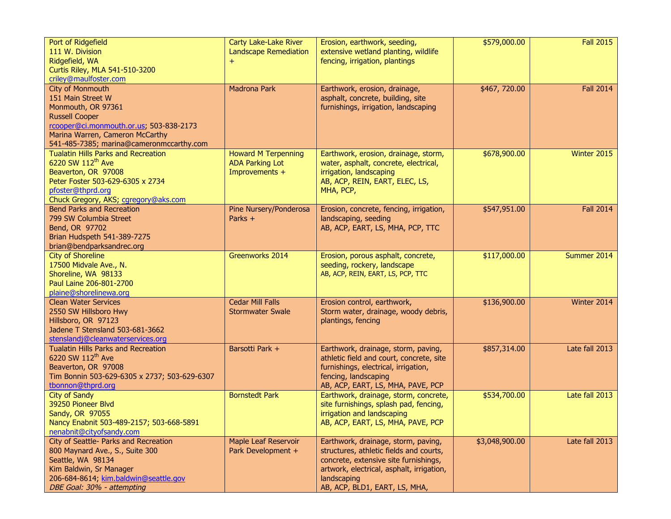| Port of Ridgefield<br>111 W. Division<br>Ridgefield, WA<br>Curtis Riley, MLA 541-510-3200<br>criley@maulfoster.com                                                                                             | <b>Carty Lake-Lake River</b><br><b>Landscape Remediation</b>           | Erosion, earthwork, seeding,<br>extensive wetland planting, wildlife<br>fencing, irrigation, plantings                                                                                                               | \$579,000.00   | <b>Fall 2015</b> |
|----------------------------------------------------------------------------------------------------------------------------------------------------------------------------------------------------------------|------------------------------------------------------------------------|----------------------------------------------------------------------------------------------------------------------------------------------------------------------------------------------------------------------|----------------|------------------|
| City of Monmouth<br>151 Main Street W<br>Monmouth, OR 97361<br><b>Russell Cooper</b><br>rcooper@ci.monmouth.or.us; 503-838-2173<br>Marina Warren, Cameron McCarthy<br>541-485-7385; marina@cameronmccarthy.com | <b>Madrona Park</b>                                                    | Earthwork, erosion, drainage,<br>asphalt, concrete, building, site<br>furnishings, irrigation, landscaping                                                                                                           | \$467,720.00   | <b>Fall 2014</b> |
| <b>Tualatin Hills Parks and Recreation</b><br>6220 SW 112 <sup>th</sup> Ave<br>Beaverton, OR 97008<br>Peter Foster 503-629-6305 x 2734<br>pfoster@thprd.org<br>Chuck Gregory, AKS; cgregory@aks.com            | <b>Howard M Terpenning</b><br><b>ADA Parking Lot</b><br>Improvements + | Earthwork, erosion, drainage, storm,<br>water, asphalt, concrete, electrical,<br>irrigation, landscaping<br>AB, ACP, REIN, EART, ELEC, LS,<br>MHA, PCP,                                                              | \$678,900.00   | Winter 2015      |
| <b>Bend Parks and Recreation</b><br>799 SW Columbia Street<br>Bend, OR 97702<br>Brian Hudspeth 541-389-7275<br>brian@bendparksandrec.org                                                                       | Pine Nursery/Ponderosa<br>Parks $+$                                    | Erosion, concrete, fencing, irrigation,<br>landscaping, seeding<br>AB, ACP, EART, LS, MHA, PCP, TTC                                                                                                                  | \$547,951.00   | <b>Fall 2014</b> |
| <b>City of Shoreline</b><br>17500 Midvale Ave., N.<br>Shoreline, WA 98133<br>Paul Laine 206-801-2700<br>plaine@shorelinewa.org                                                                                 | Greenworks 2014                                                        | Erosion, porous asphalt, concrete,<br>seeding, rockery, landscape<br>AB, ACP, REIN, EART, LS, PCP, TTC                                                                                                               | \$117,000.00   | Summer 2014      |
| <b>Clean Water Services</b><br>2550 SW Hillsboro Hwy<br>Hillsboro, OR 97123<br>Jadene T Stensland 503-681-3662<br>stenslandj@cleanwaterservices.org                                                            | <b>Cedar Mill Falls</b><br><b>Stormwater Swale</b>                     | Erosion control, earthwork,<br>Storm water, drainage, woody debris,<br>plantings, fencing                                                                                                                            | \$136,900.00   | Winter 2014      |
| <b>Tualatin Hills Parks and Recreation</b><br>6220 SW 112 <sup>th</sup> Ave<br>Beaverton, OR 97008<br>Tim Bonnin 503-629-6305 x 2737; 503-629-6307<br>tbonnon@thprd.org                                        | Barsotti Park +                                                        | Earthwork, drainage, storm, paving,<br>athletic field and court, concrete, site<br>furnishings, electrical, irrigation,<br>fencing, landscaping<br>AB, ACP, EART, LS, MHA, PAVE, PCP                                 | \$857,314.00   | Late fall 2013   |
| <b>City of Sandy</b><br>39250 Pioneer Blvd<br>Sandy, OR 97055<br>Nancy Enabnit 503-489-2157; 503-668-5891<br>nenabnit@cityofsandy.com                                                                          | <b>Bornstedt Park</b>                                                  | Earthwork, drainage, storm, concrete,<br>site furnishings, splash pad, fencing,<br>irrigation and landscaping<br>AB, ACP, EART, LS, MHA, PAVE, PCP                                                                   | \$534,700.00   | Late fall 2013   |
| City of Seattle- Parks and Recreation<br>800 Maynard Ave., S., Suite 300<br>Seattle, WA 98134<br>Kim Baldwin, Sr Manager<br>206-684-8614; kim.baldwin@seattle.gov<br>DBE Goal: 30% - attempting                | <b>Maple Leaf Reservoir</b><br>Park Development +                      | Earthwork, drainage, storm, paving,<br>structures, athletic fields and courts,<br>concrete, extensive site furnishings,<br>artwork, electrical, asphalt, irrigation,<br>landscaping<br>AB, ACP, BLD1, EART, LS, MHA, | \$3,048,900.00 | Late fall 2013   |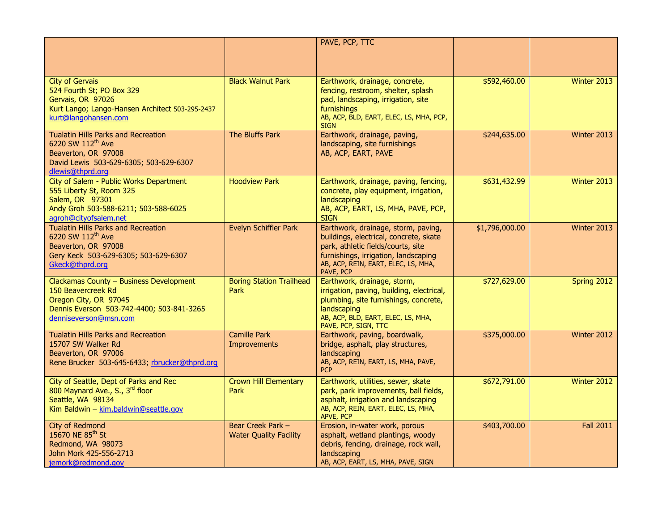|                                                                                                                                                               |                                                    | PAVE, PCP, TTC                                                                                                                                                                                                  |                |                  |
|---------------------------------------------------------------------------------------------------------------------------------------------------------------|----------------------------------------------------|-----------------------------------------------------------------------------------------------------------------------------------------------------------------------------------------------------------------|----------------|------------------|
| <b>City of Gervais</b><br>524 Fourth St; PO Box 329<br>Gervais, OR 97026<br>Kurt Lango; Lango-Hansen Architect 503-295-2437<br>kurt@langohansen.com           | <b>Black Walnut Park</b>                           | Earthwork, drainage, concrete,<br>fencing, restroom, shelter, splash<br>pad, landscaping, irrigation, site<br>furnishings<br>AB, ACP, BLD, EART, ELEC, LS, MHA, PCP,<br><b>SIGN</b>                             | \$592,460.00   | Winter 2013      |
| <b>Tualatin Hills Parks and Recreation</b><br>6220 SW 112th Ave<br>Beaverton, OR 97008<br>David Lewis 503-629-6305; 503-629-6307<br>dlewis@thprd.org          | The Bluffs Park                                    | Earthwork, drainage, paving,<br>landscaping, site furnishings<br>AB, ACP, EART, PAVE                                                                                                                            | \$244,635.00   | Winter 2013      |
| City of Salem - Public Works Department<br>555 Liberty St, Room 325<br>Salem, OR 97301<br>Andy Groh 503-588-6211; 503-588-6025<br>agroh@cityofsalem.net       | <b>Hoodview Park</b>                               | Earthwork, drainage, paving, fencing,<br>concrete, play equipment, irrigation,<br>landscaping<br>AB, ACP, EART, LS, MHA, PAVE, PCP,<br><b>SIGN</b>                                                              | \$631,432.99   | Winter 2013      |
| <b>Tualatin Hills Parks and Recreation</b><br>6220 SW 112 <sup>th</sup> Ave<br>Beaverton, OR 97008<br>Gery Keck 503-629-6305; 503-629-6307<br>Gkeck@thprd.org | Evelyn Schiffler Park                              | Earthwork, drainage, storm, paving,<br>buildings, electrical, concrete, skate<br>park, athletic fields/courts, site<br>furnishings, irrigation, landscaping<br>AB, ACP, REIN, EART, ELEC, LS, MHA,<br>PAVE, PCP | \$1,796,000.00 | Winter 2013      |
| Clackamas County - Business Development<br>150 Beavercreek Rd<br>Oregon City, OR 97045<br>Dennis Everson 503-742-4400; 503-841-3265<br>denniseverson@msn.com  | <b>Boring Station Trailhead</b><br><b>Park</b>     | Earthwork, drainage, storm,<br>irrigation, paving, building, electrical,<br>plumbing, site furnishings, concrete,<br>landscaping<br>AB, ACP, BLD, EART, ELEC, LS, MHA,<br>PAVE, PCP, SIGN, TTC                  | \$727,629.00   | Spring 2012      |
| <b>Tualatin Hills Parks and Recreation</b><br>15707 SW Walker Rd<br>Beaverton, OR 97006<br>Rene Brucker 503-645-6433; rbrucker@thprd.org                      | <b>Camille Park</b><br>Improvements                | Earthwork, paving, boardwalk,<br>bridge, asphalt, play structures,<br>landscaping<br>AB, ACP, REIN, EART, LS, MHA, PAVE,<br><b>PCP</b>                                                                          | \$375,000.00   | Winter 2012      |
| City of Seattle, Dept of Parks and Rec<br>800 Maynard Ave., S., 3rd floor<br>Seattle, WA 98134<br>Kim Baldwin - kim.baldwin@seattle.gov                       | <b>Crown Hill Elementary</b><br><b>Park</b>        | Earthwork, utilities, sewer, skate<br>park, park improvements, ball fields,<br>asphalt, irrigation and landscaping<br>AB, ACP, REIN, EART, ELEC, LS, MHA,<br>APVE, PCP                                          | \$672,791.00   | Winter 2012      |
| City of Redmond<br>15670 NE 85 <sup>th</sup> St<br>Redmond, WA 98073<br>John Mork 425-556-2713<br>jemork@redmond.gov                                          | Bear Creek Park -<br><b>Water Quality Facility</b> | Erosion, in-water work, porous<br>asphalt, wetland plantings, woody<br>debris, fencing, drainage, rock wall,<br>landscaping<br>AB, ACP, EART, LS, MHA, PAVE, SIGN                                               | \$403,700.00   | <b>Fall 2011</b> |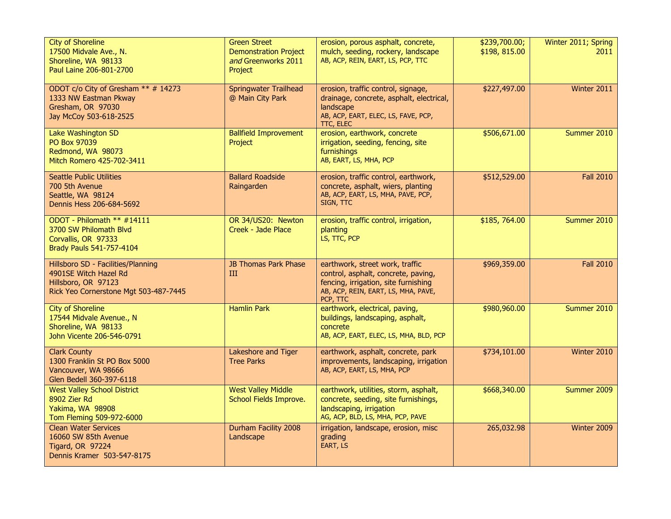| <b>City of Shoreline</b><br>17500 Midvale Ave., N.<br>Shoreline, WA 98133<br>Paul Laine 206-801-2700                        | <b>Green Street</b><br><b>Demonstration Project</b><br>and Greenworks 2011<br>Project | erosion, porous asphalt, concrete,<br>mulch, seeding, rockery, landscape<br>AB, ACP, REIN, EART, LS, PCP, TTC                                                     | \$239,700.00;<br>\$198, 815.00 | Winter 2011; Spring<br>2011 |
|-----------------------------------------------------------------------------------------------------------------------------|---------------------------------------------------------------------------------------|-------------------------------------------------------------------------------------------------------------------------------------------------------------------|--------------------------------|-----------------------------|
| ODOT c/o City of Gresham ** # 14273<br>1333 NW Eastman Pkway<br>Gresham, OR 97030<br>Jay McCoy 503-618-2525                 | <b>Springwater Trailhead</b><br>@ Main City Park                                      | erosion, traffic control, signage,<br>drainage, concrete, asphalt, electrical,<br>landscape<br>AB, ACP, EART, ELEC, LS, FAVE, PCP,<br>TTC, ELEC                   | \$227,497.00                   | Winter 2011                 |
| Lake Washington SD<br>PO Box 97039<br>Redmond, WA 98073<br>Mitch Romero 425-702-3411                                        | <b>Ballfield Improvement</b><br>Project                                               | erosion, earthwork, concrete<br>irrigation, seeding, fencing, site<br>furnishings<br>AB, EART, LS, MHA, PCP                                                       | \$506,671.00                   | Summer 2010                 |
| <b>Seattle Public Utilities</b><br>700 5th Avenue<br>Seattle, WA 98124<br>Dennis Hess 206-684-5692                          | <b>Ballard Roadside</b><br>Raingarden                                                 | erosion, traffic control, earthwork,<br>concrete, asphalt, wiers, planting<br>AB, ACP, EART, LS, MHA, PAVE, PCP,<br>SIGN, TTC                                     | \$512,529.00                   | <b>Fall 2010</b>            |
| ODOT - Philomath ** #14111<br>3700 SW Philomath Blyd<br>Corvallis, OR 97333<br>Brady Pauls 541-757-4104                     | OR 34/US20: Newton<br>Creek - Jade Place                                              | erosion, traffic control, irrigation,<br>planting<br>LS, TTC, PCP                                                                                                 | \$185,764.00                   | Summer 2010                 |
| Hillsboro SD - Facilities/Planning<br>4901SE Witch Hazel Rd<br>Hillsboro, OR 97123<br>Rick Yeo Cornerstone Mgt 503-487-7445 | <b>JB Thomas Park Phase</b><br>III                                                    | earthwork, street work, traffic<br>control, asphalt, concrete, paving,<br>fencing, irrigation, site furnishing<br>AB, ACP, REIN, EART, LS, MHA, PAVE,<br>PCP, TTC | \$969,359.00                   | <b>Fall 2010</b>            |
| <b>City of Shoreline</b><br>17544 Midvale Avenue., N<br>Shoreline, WA 98133<br>John Vicente 206-546-0791                    | <b>Hamlin Park</b>                                                                    | earthwork, electrical, paving,<br>buildings, landscaping, asphalt,<br>concrete<br>AB, ACP, EART, ELEC, LS, MHA, BLD, PCP                                          | \$980,960.00                   | Summer 2010                 |
| <b>Clark County</b><br>1300 Franklin St PO Box 5000<br>Vancouver, WA 98666<br>Glen Bedell 360-397-6118                      | Lakeshore and Tiger<br><b>Tree Parks</b>                                              | earthwork, asphalt, concrete, park<br>improvements, landscaping, irrigation<br>AB, ACP, EART, LS, MHA, PCP                                                        | \$734,101.00                   | Winter 2010                 |
| <b>West Valley School District</b><br>8902 Zier Rd<br>Yakima, WA 98908<br>Tom Fleming 509-972-6000                          | <b>West Valley Middle</b><br>School Fields Improve.                                   | earthwork, utilities, storm, asphalt,<br>concrete, seeding, site furnishings,<br>landscaping, irrigation<br>AG, ACP, BLD, LS, MHA, PCP, PAVE                      | \$668,340.00                   | Summer 2009                 |
| <b>Clean Water Services</b><br>16060 SW 85th Avenue<br>Tigard, OR 97224<br>Dennis Kramer 503-547-8175                       | Durham Facility 2008<br>Landscape                                                     | irrigation, landscape, erosion, misc<br>grading<br>EART, LS                                                                                                       | 265,032.98                     | Winter 2009                 |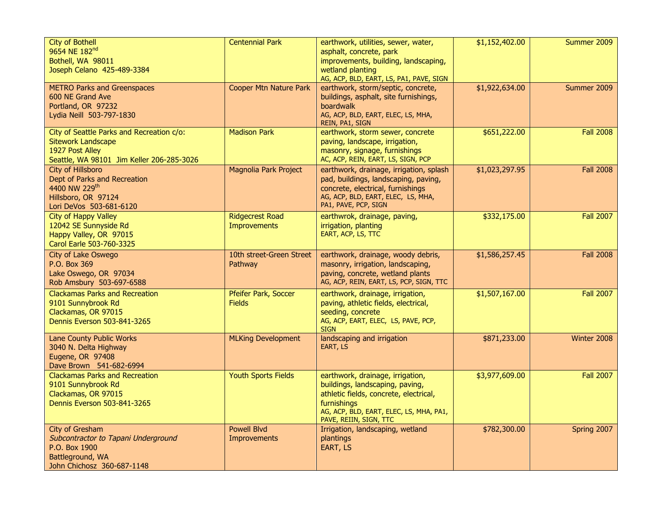| <b>City of Bothell</b><br>9654 NE 182 <sup>nd</sup><br>Bothell, WA 98011<br>Joseph Celano 425-489-3384                                 | <b>Centennial Park</b>                 | earthwork, utilities, sewer, water,<br>asphalt, concrete, park<br>improvements, building, landscaping,<br>wetland planting<br>AG, ACP, BLD, EART, LS, PA1, PAVE, SIGN                             | \$1,152,402.00 | Summer 2009      |
|----------------------------------------------------------------------------------------------------------------------------------------|----------------------------------------|---------------------------------------------------------------------------------------------------------------------------------------------------------------------------------------------------|----------------|------------------|
| <b>METRO Parks and Greenspaces</b><br>600 NE Grand Ave<br>Portland, OR 97232<br>Lydia Neill 503-797-1830                               | <b>Cooper Mtn Nature Park</b>          | earthwork, storm/septic, concrete,<br>buildings, asphalt, site furnishings,<br>boardwalk<br>AG, ACP, BLD, EART, ELEC, LS, MHA,<br>REIN, PA1, SIGN                                                 | \$1,922,634.00 | Summer 2009      |
| City of Seattle Parks and Recreation c/o:<br><b>Sitework Landscape</b><br>1927 Post Alley<br>Seattle, WA 98101 Jim Keller 206-285-3026 | <b>Madison Park</b>                    | earthwork, storm sewer, concrete<br>paving, landscape, irrigation,<br>masonry, signage, furnishings<br>AC, ACP, REIN, EART, LS, SIGN, PCP                                                         | \$651,222.00   | <b>Fall 2008</b> |
| <b>City of Hillsboro</b><br>Dept of Parks and Recreation<br>4400 NW 229th<br>Hillsboro, OR 97124<br>Lori DeVos 503-681-6120            | Magnolia Park Project                  | earthwork, drainage, irrigation, splash<br>pad, buildings, landscaping, paving,<br>concrete, electrical, furnishings<br>AG, ACP, BLD, EART, ELEC, LS, MHA,<br>PA1, PAVE, PCP, SIGN                | \$1,023,297.95 | <b>Fall 2008</b> |
| <b>City of Happy Valley</b><br>12042 SE Sunnyside Rd<br>Happy Valley, OR 97015<br>Carol Earle 503-760-3325                             | <b>Ridgecrest Road</b><br>Improvements | earthwrok, drainage, paving,<br>irrigation, planting<br>EART, ACP, LS, TTC                                                                                                                        | \$332,175.00   | <b>Fall 2007</b> |
| City of Lake Oswego<br>P.O. Box 369<br>Lake Oswego, OR 97034<br>Rob Amsbury 503-697-6588                                               | 10th street-Green Street<br>Pathway    | earthwork, drainage, woody debris,<br>masonry, irrigation, landscaping,<br>paving, concrete, wetland plants<br>AG, ACP, REIN, EART, LS, PCP, SIGN, TTC                                            | \$1,586,257.45 | <b>Fall 2008</b> |
| <b>Clackamas Parks and Recreation</b><br>9101 Sunnybrook Rd<br>Clackamas, OR 97015<br>Dennis Everson 503-841-3265                      | Pfeifer Park, Soccer<br><b>Fields</b>  | earthwork, drainage, irrigation,<br>paving, athletic fields, electrical,<br>seeding, concrete<br>AG, ACP, EART, ELEC, LS, PAVE, PCP,<br><b>SIGN</b>                                               | \$1,507,167.00 | <b>Fall 2007</b> |
| Lane County Public Works<br>3040 N. Delta Highway<br>Eugene, OR 97408<br>Dave Brown 541-682-6994                                       | <b>MLKing Development</b>              | landscaping and irrigation<br>EART, LS                                                                                                                                                            | \$871,233.00   | Winter 2008      |
| <b>Clackamas Parks and Recreation</b><br>9101 Sunnybrook Rd<br>Clackamas, OR 97015<br>Dennis Everson 503-841-3265                      | <b>Youth Sports Fields</b>             | earthwork, drainage, irrigation,<br>buildings, landscaping, paving,<br>athletic fields, concrete, electrical,<br>furnishings<br>AG, ACP, BLD, EART, ELEC, LS, MHA, PA1,<br>PAVE, REIIN, SIGN, TTC | \$3,977,609.00 | <b>Fall 2007</b> |
| City of Gresham<br>Subcontractor to Tapani Underground<br>P.O. Box 1900<br>Battleground, WA<br>John Chichosz 360-687-1148              | <b>Powell Blvd</b><br>Improvements     | Irrigation, landscaping, wetland<br>plantings<br>EART, LS                                                                                                                                         | \$782,300.00   | Spring 2007      |